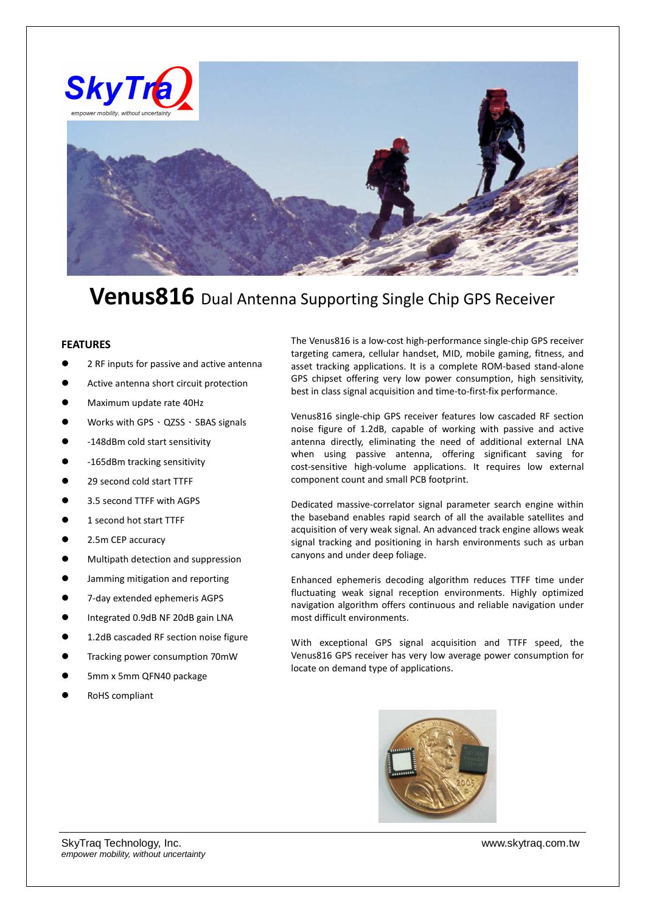

## **Venus816** Dual Antenna Supporting Single Chip GPS Receiver

## **FEATURES**

- 2 RF inputs for passive and active antenna
- Active antenna short circuit protection
- Maximum update rate 40Hz
- Works with GPS 、 QZSS 、 SBAS signals
- -148dBm cold start sensitivity
- -165dBm tracking sensitivity
- 29 second cold start TTFF
- 3.5 second TTFF with AGPS
- 1 second hot start TTFF
- 2.5m CEP accuracy
- Multipath detection and suppression
- Jamming mitigation and reporting
- 7-day extended ephemeris AGPS
- Integrated 0.9dB NF 20dB gain LNA
- 1.2dB cascaded RF section noise figure
- Tracking power consumption 70mW
- 5mm x 5mm QFN40 package
- RoHS compliant

The Venus816 is a low-cost high-performance single-chip GPS receiver targeting camera, cellular handset, MID, mobile gaming, fitness, and asset tracking applications. It is a complete ROM-based stand-alone GPS chipset offering very low power consumption, high sensitivity, best in class signal acquisition and time-to-first-fix performance.

Venus816 single-chip GPS receiver features low cascaded RF section noise figure of 1.2dB, capable of working with passive and active antenna directly, eliminating the need of additional external LNA when using passive antenna, offering significant saving for cost-sensitive high-volume applications. It requires low external component count and small PCB footprint.

Dedicated massive-correlator signal parameter search engine within the baseband enables rapid search of all the available satellites and acquisition of very weak signal. An advanced track engine allows weak signal tracking and positioning in harsh environments such as urban canyons and under deep foliage.

Enhanced ephemeris decoding algorithm reduces TTFF time under fluctuating weak signal reception environments. Highly optimized navigation algorithm offers continuous and reliable navigation under most difficult environments.

With exceptional GPS signal acquisition and TTFF speed, the Venus816 GPS receiver has very low average power consumption for locate on demand type of applications.